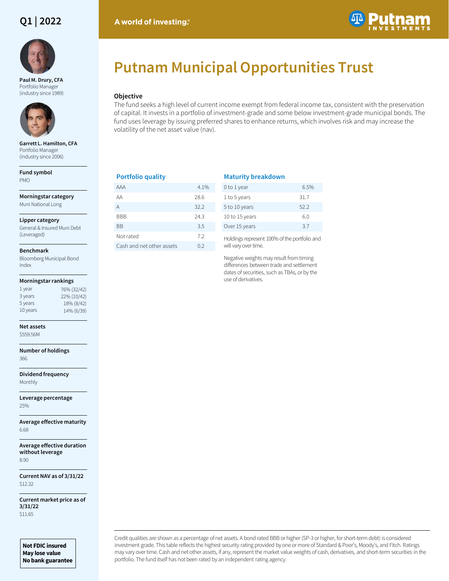# **Q1 | 2022**



**Paul M. Drury, CFA**  Portfolio Manager (industry since 1989)



**Garrett L. Hamilton, CFA**  Portfolio Manager (industry since 2006)

**Fund symbol** PMO

**Morningstar category** Muni National Long

**Lipper category**

General & Insured Muni Debt (Leveraged)

### **Benchmark**

Bloomberg Municipal Bond Index

### **Morningstar rankings**

| 1 year   | 76% (32/42) |
|----------|-------------|
| 3 years  | 22% (10/42) |
| 5 years  | 18% (8/42)  |
| 10 years | 14% (6/39)  |
|          |             |

### **Net assets**

\$559.56M

### **Number of holdings** 366

**Dividend frequency** Monthly

**Leverage percentage** 25%

**Average effective maturity** 6.68

**Average effective duration without leverage** 8.90

**Current NAV as of 3/31/22** \$12.32

**Current market price as of 3/31/22** \$11.65

**Not FDIC insured May lose value No bank guarantee**

# A world of investing.



# **Putnam Municipal Opportunities Trust**

# **Objective**

The fund seeks a high level of current income exempt from federal income tax, consistent with the preservation of capital. It invests in a portfolio of investment-grade and some below investment-grade municipal bonds. The fund uses leverage by issuing preferred shares to enhance returns, which involves risk and may increase the volatility of the net asset value (nav).

## **Portfolio quality**

| AAA                       | $4.1\%$ |
|---------------------------|---------|
| ΑA                        | 28.6    |
| А                         | 32.2    |
| BBB                       | 24.3    |
| ВB                        | 3.5     |
| Not rated                 | 7.2     |
| Cash and net other assets | 0.2     |

# **Maturity breakdown**

| 0 to 1 year    | 6.5% |
|----------------|------|
| 1 to 5 years   | 31.7 |
| 5 to 10 years  | 522  |
| 10 to 15 years | 60   |
| Over 15 years  | 37   |

Holdings represent 100% of the portfolio and will vary over time.

Negative weights may result from timing differences between trade and settlement dates of securities, such as TBAs, or by the use of derivatives.

Credit qualities are shown as a percentage of net assets. A bond rated BBB or higher (SP-3 or higher, for short-term debt) is considered investment grade. This table reflects the highest security rating provided by one or more of Standard & Poor's, Moody's, and Fitch. Ratings may vary over time. Cash and net other assets, if any, represent the market value weights of cash, derivatives, and short-term securities in the portfolio. The fund itself has not been rated by an independent rating agency.